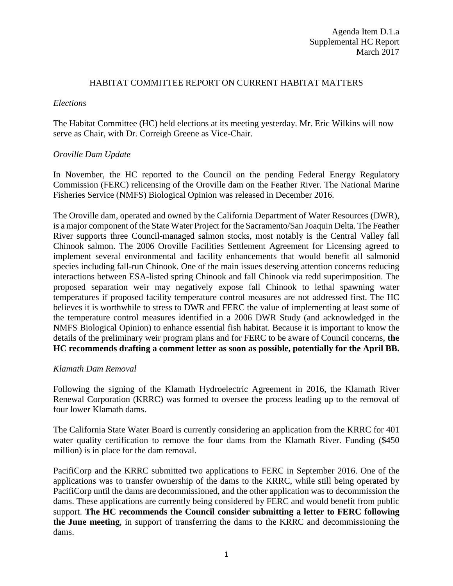#### HABITAT COMMITTEE REPORT ON CURRENT HABITAT MATTERS

#### *Elections*

The Habitat Committee (HC) held elections at its meeting yesterday. Mr. Eric Wilkins will now serve as Chair, with Dr. Correigh Greene as Vice-Chair.

### *Oroville Dam Update*

In November, the HC reported to the Council on the pending Federal Energy Regulatory Commission (FERC) relicensing of the Oroville dam on the Feather River. The National Marine Fisheries Service (NMFS) Biological Opinion was released in December 2016.

The Oroville dam, operated and owned by the California Department of Water Resources (DWR), is a major component of the State Water Project for the Sacramento/San Joaquin Delta. The Feather River supports three Council-managed salmon stocks, most notably is the Central Valley fall Chinook salmon. The 2006 Oroville Facilities Settlement Agreement for Licensing agreed to implement several environmental and facility enhancements that would benefit all salmonid species including fall-run Chinook. One of the main issues deserving attention concerns reducing interactions between ESA-listed spring Chinook and fall Chinook via redd superimposition. The proposed separation weir may negatively expose fall Chinook to lethal spawning water temperatures if proposed facility temperature control measures are not addressed first. The HC believes it is worthwhile to stress to DWR and FERC the value of implementing at least some of the temperature control measures identified in a 2006 DWR Study (and acknowledged in the NMFS Biological Opinion) to enhance essential fish habitat. Because it is important to know the details of the preliminary weir program plans and for FERC to be aware of Council concerns, **the HC recommends drafting a comment letter as soon as possible, potentially for the April BB.** 

### *Klamath Dam Removal*

Following the signing of the Klamath Hydroelectric Agreement in 2016, the Klamath River Renewal Corporation (KRRC) was formed to oversee the process leading up to the removal of four lower Klamath dams.

The California State Water Board is currently considering an application from the KRRC for 401 water quality certification to remove the four dams from the Klamath River. Funding (\$450) million) is in place for the dam removal.

PacifiCorp and the KRRC submitted two applications to FERC in September 2016. One of the applications was to transfer ownership of the dams to the KRRC, while still being operated by PacifiCorp until the dams are decommissioned, and the other application was to decommission the dams. These applications are currently being considered by FERC and would benefit from public support. **The HC recommends the Council consider submitting a letter to FERC following the June meeting**, in support of transferring the dams to the KRRC and decommissioning the dams.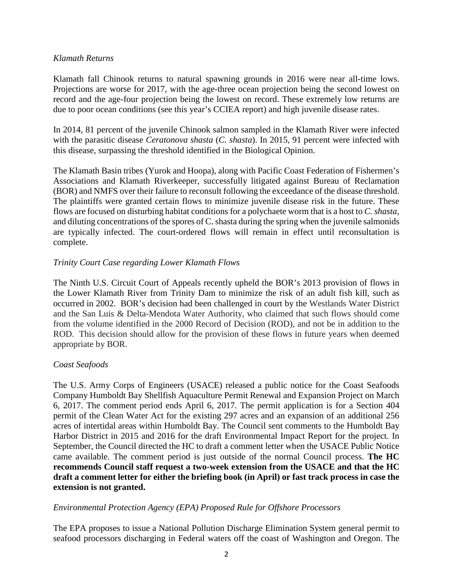### *Klamath Returns*

Klamath fall Chinook returns to natural spawning grounds in 2016 were near all-time lows. Projections are worse for 2017, with the age-three ocean projection being the second lowest on record and the age-four projection being the lowest on record. These extremely low returns are due to poor ocean conditions (see this year's CCIEA report) and high juvenile disease rates.

In 2014, 81 percent of the juvenile Chinook salmon sampled in the Klamath River were infected with the parasitic disease *Ceratonova shasta* (*C. shasta*). In 2015, 91 percent were infected with this disease, surpassing the threshold identified in the Biological Opinion.

The Klamath Basin tribes (Yurok and Hoopa), along with Pacific Coast Federation of Fishermen's Associations and Klamath Riverkeeper, successfully litigated against Bureau of Reclamation (BOR) and NMFS over their failure to reconsult following the exceedance of the disease threshold. The plaintiffs were granted certain flows to minimize juvenile disease risk in the future. These flows are focused on disturbing habitat conditions for a polychaete worm that is a host to *C. shasta,*  and diluting concentrations of the spores of C. shasta during the spring when the juvenile salmonids are typically infected. The court-ordered flows will remain in effect until reconsultation is complete.

## *Trinity Court Case regarding Lower Klamath Flows*

The Ninth U.S. Circuit Court of Appeals recently upheld the BOR's 2013 provision of flows in the Lower Klamath River from Trinity Dam to minimize the risk of an adult fish kill, such as occurred in 2002. BOR's decision had been challenged in court by the Westlands Water District and the San Luis & Delta-Mendota Water Authority, who claimed that such flows should come from the volume identified in the 2000 Record of Decision (ROD), and not be in addition to the ROD. This decision should allow for the provision of these flows in future years when deemed appropriate by BOR.

## *Coast Seafoods*

The U.S. Army Corps of Engineers (USACE) released a public notice for the Coast Seafoods Company Humboldt Bay Shellfish Aquaculture Permit Renewal and Expansion Project on March 6, 2017. The comment period ends April 6, 2017. The permit application is for a Section 404 permit of the Clean Water Act for the existing 297 acres and an expansion of an additional 256 acres of intertidal areas within Humboldt Bay. The Council sent comments to the Humboldt Bay Harbor District in 2015 and 2016 for the draft Environmental Impact Report for the project. In September, the Council directed the HC to draft a comment letter when the USACE Public Notice came available. The comment period is just outside of the normal Council process. **The HC recommends Council staff request a two-week extension from the USACE and that the HC draft a comment letter for either the briefing book (in April) or fast track process in case the extension is not granted.**

## *Environmental Protection Agency (EPA) Proposed Rule for Offshore Processors*

The EPA proposes to issue a National Pollution Discharge Elimination System general permit to seafood processors discharging in Federal waters off the coast of Washington and Oregon. The